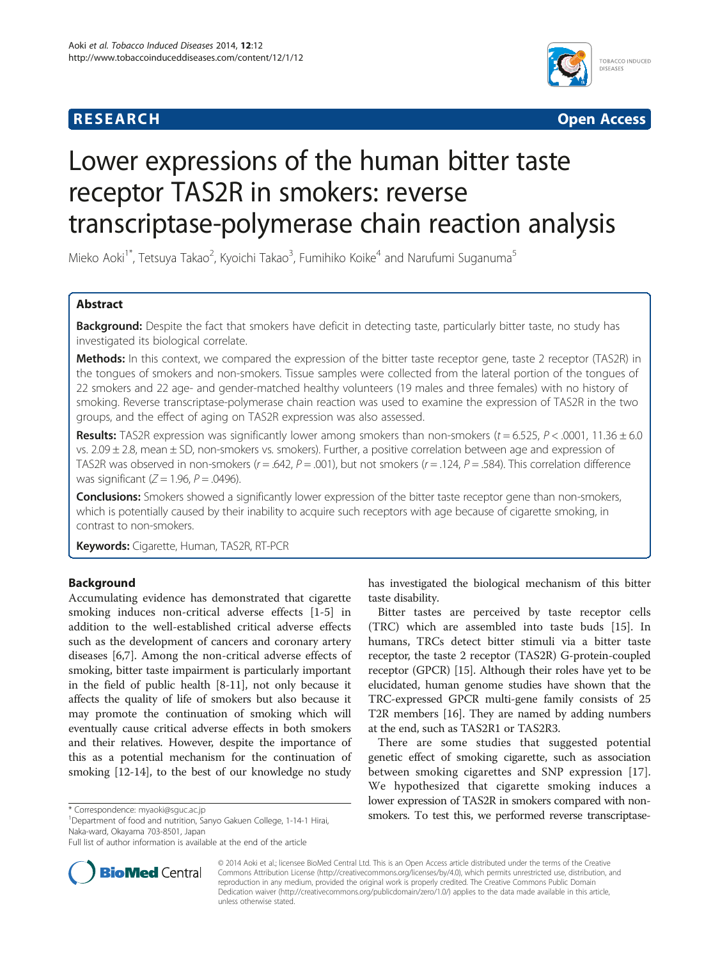

**RESEARCH RESEARCH** *CHECKER CHECKER CHECKER CHECKER CHECKER CHECKER CHECKER CHECKER CHECKER CHECKER CHECKER* 

# Lower expressions of the human bitter taste receptor TAS2R in smokers: reverse transcriptase-polymerase chain reaction analysis

Mieko Aoki<sup>1\*</sup>, Tetsuya Takao<sup>2</sup>, Kyoichi Takao<sup>3</sup>, Fumihiko Koike<sup>4</sup> and Narufumi Suganuma<sup>5</sup>

# Abstract

Background: Despite the fact that smokers have deficit in detecting taste, particularly bitter taste, no study has investigated its biological correlate.

Methods: In this context, we compared the expression of the bitter taste receptor gene, taste 2 receptor (TAS2R) in the tongues of smokers and non-smokers. Tissue samples were collected from the lateral portion of the tongues of 22 smokers and 22 age- and gender-matched healthy volunteers (19 males and three females) with no history of smoking. Reverse transcriptase-polymerase chain reaction was used to examine the expression of TAS2R in the two groups, and the effect of aging on TAS2R expression was also assessed.

Results: TAS2R expression was significantly lower among smokers than non-smokers (t = 6.525, P < .0001, 11.36  $\pm$  6.0 vs. 2.09 ± 2.8, mean ± SD, non-smokers vs. smokers). Further, a positive correlation between age and expression of TAS2R was observed in non-smokers ( $r = .642$ ,  $P = .001$ ), but not smokers ( $r = .124$ ,  $P = .584$ ). This correlation difference was significant ( $Z = 1.96$ ,  $P = .0496$ ).

Conclusions: Smokers showed a significantly lower expression of the bitter taste receptor gene than non-smokers, which is potentially caused by their inability to acquire such receptors with age because of cigarette smoking, in contrast to non-smokers.

Keywords: Cigarette, Human, TAS2R, RT-PCR

# Background

Accumulating evidence has demonstrated that cigarette smoking induces non-critical adverse effects [[1-5](#page-6-0)] in addition to the well-established critical adverse effects such as the development of cancers and coronary artery diseases [[6,7\]](#page-6-0). Among the non-critical adverse effects of smoking, bitter taste impairment is particularly important in the field of public health [[8-11\]](#page-6-0), not only because it affects the quality of life of smokers but also because it may promote the continuation of smoking which will eventually cause critical adverse effects in both smokers and their relatives. However, despite the importance of this as a potential mechanism for the continuation of smoking [[12-14\]](#page-6-0), to the best of our knowledge no study



Bitter tastes are perceived by taste receptor cells (TRC) which are assembled into taste buds [[15\]](#page-6-0). In humans, TRCs detect bitter stimuli via a bitter taste receptor, the taste 2 receptor (TAS2R) G-protein-coupled receptor (GPCR) [[15\]](#page-6-0). Although their roles have yet to be elucidated, human genome studies have shown that the TRC-expressed GPCR multi-gene family consists of 25 T2R members [[16](#page-6-0)]. They are named by adding numbers at the end, such as TAS2R1 or TAS2R3.

There are some studies that suggested potential genetic effect of smoking cigarette, such as association between smoking cigarettes and SNP expression [\[17](#page-7-0)]. We hypothesized that cigarette smoking induces a lower expression of TAS2R in smokers compared with non\* Correspondence: [myaoki@sguc.ac.jp](mailto:myaoki@sguc.ac.jp)<br><sup>1</sup> Department of food and putrition. Sanyo Gakuen College, 1-14-1 Hirai **Smokers. To test this, we performed reverse transcriptase-**



© 2014 Aoki et al.; licensee BioMed Central Ltd. This is an Open Access article distributed under the terms of the Creative Commons Attribution License [\(http://creativecommons.org/licenses/by/4.0\)](http://creativecommons.org/licenses/by/4.0), which permits unrestricted use, distribution, and reproduction in any medium, provided the original work is properly credited. The Creative Commons Public Domain Dedication waiver [\(http://creativecommons.org/publicdomain/zero/1.0/](http://creativecommons.org/publicdomain/zero/1.0/)) applies to the data made available in this article, unless otherwise stated.

<sup>&</sup>lt;sup>1</sup>Department of food and nutrition, Sanyo Gakuen College, 1-14-1 Hirai, Naka-ward, Okayama 703-8501, Japan

Full list of author information is available at the end of the article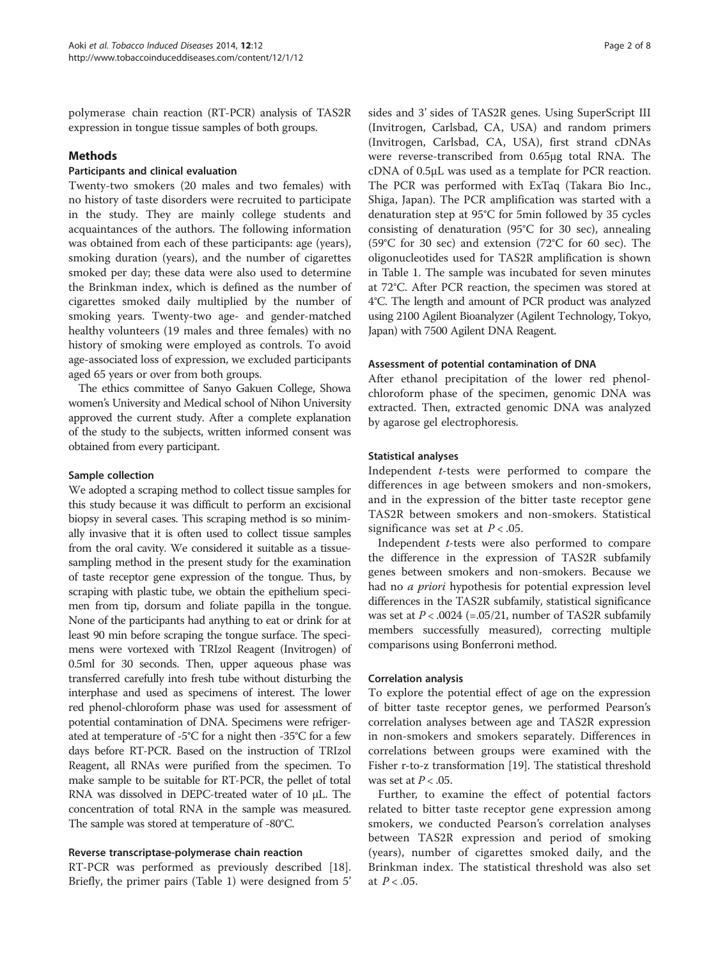polymerase chain reaction (RT-PCR) analysis of TAS2R expression in tongue tissue samples of both groups.

### Methods

# Participants and clinical evaluation

Twenty-two smokers (20 males and two females) with no history of taste disorders were recruited to participate in the study. They are mainly college students and acquaintances of the authors. The following information was obtained from each of these participants: age (years), smoking duration (years), and the number of cigarettes smoked per day; these data were also used to determine the Brinkman index, which is defined as the number of cigarettes smoked daily multiplied by the number of smoking years. Twenty-two age- and gender-matched healthy volunteers (19 males and three females) with no history of smoking were employed as controls. To avoid age-associated loss of expression, we excluded participants aged 65 years or over from both groups.

The ethics committee of Sanyo Gakuen College, Showa women's University and Medical school of Nihon University approved the current study. After a complete explanation of the study to the subjects, written informed consent was obtained from every participant.

### Sample collection

We adopted a scraping method to collect tissue samples for this study because it was difficult to perform an excisional biopsy in several cases. This scraping method is so minimally invasive that it is often used to collect tissue samples from the oral cavity. We considered it suitable as a tissuesampling method in the present study for the examination of taste receptor gene expression of the tongue. Thus, by scraping with plastic tube, we obtain the epithelium specimen from tip, dorsum and foliate papilla in the tongue. None of the participants had anything to eat or drink for at least 90 min before scraping the tongue surface. The specimens were vortexed with TRIzol Reagent (Invitrogen) of 0.5ml for 30 seconds. Then, upper aqueous phase was transferred carefully into fresh tube without disturbing the interphase and used as specimens of interest. The lower red phenol-chloroform phase was used for assessment of potential contamination of DNA. Specimens were refrigerated at temperature of -5°C for a night then -35°C for a few days before RT-PCR. Based on the instruction of TRIzol Reagent, all RNAs were purified from the specimen. To make sample to be suitable for RT-PCR, the pellet of total RNA was dissolved in DEPC-treated water of 10 μL. The concentration of total RNA in the sample was measured. The sample was stored at temperature of -80°C.

# Reverse transcriptase-polymerase chain reaction

RT-PCR was performed as previously described [\[18](#page-7-0)]. Briefly, the primer pairs (Table [1](#page-2-0)) were designed from 5'

sides and 3' sides of TAS2R genes. Using SuperScript III (Invitrogen, Carlsbad, CA, USA) and random primers (Invitrogen, Carlsbad, CA, USA), first strand cDNAs were reverse-transcribed from 0.65μg total RNA. The cDNA of 0.5μL was used as a template for PCR reaction. The PCR was performed with ExTaq (Takara Bio Inc., Shiga, Japan). The PCR amplification was started with a denaturation step at 95°C for 5min followed by 35 cycles consisting of denaturation (95°C for 30 sec), annealing (59°C for 30 sec) and extension (72°C for 60 sec). The oligonucleotides used for TAS2R amplification is shown in Table [1](#page-2-0). The sample was incubated for seven minutes at 72°C. After PCR reaction, the specimen was stored at 4°C. The length and amount of PCR product was analyzed using 2100 Agilent Bioanalyzer (Agilent Technology, Tokyo, Japan) with 7500 Agilent DNA Reagent.

#### Assessment of potential contamination of DNA

After ethanol precipitation of the lower red phenolchloroform phase of the specimen, genomic DNA was extracted. Then, extracted genomic DNA was analyzed by agarose gel electrophoresis.

# Statistical analyses

Independent t-tests were performed to compare the differences in age between smokers and non-smokers, and in the expression of the bitter taste receptor gene TAS2R between smokers and non-smokers. Statistical significance was set at  $P < .05$ .

Independent t-tests were also performed to compare the difference in the expression of TAS2R subfamily genes between smokers and non-smokers. Because we had no a priori hypothesis for potential expression level differences in the TAS2R subfamily, statistical significance was set at  $P < .0024$  (=.05/21, number of TAS2R subfamily members successfully measured), correcting multiple comparisons using Bonferroni method.

#### Correlation analysis

To explore the potential effect of age on the expression of bitter taste receptor genes, we performed Pearson's correlation analyses between age and TAS2R expression in non-smokers and smokers separately. Differences in correlations between groups were examined with the Fisher r-to-z transformation [[19](#page-7-0)]. The statistical threshold was set at  $P < .05$ .

Further, to examine the effect of potential factors related to bitter taste receptor gene expression among smokers, we conducted Pearson's correlation analyses between TAS2R expression and period of smoking (years), number of cigarettes smoked daily, and the Brinkman index. The statistical threshold was also set at  $P < .05$ .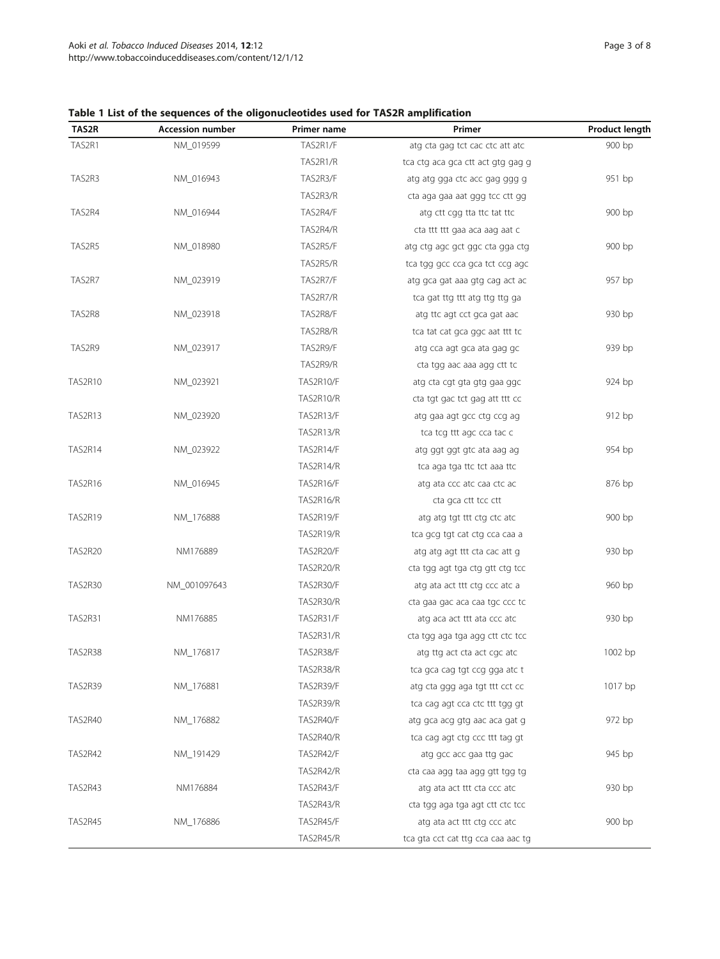# <span id="page-2-0"></span>Table 1 List of the sequences of the oligonucleotides used for TAS2R amplification

| TAS2R   | <b>Accession number</b> | Primer name      | Primer                             | <b>Product length</b> |
|---------|-------------------------|------------------|------------------------------------|-----------------------|
| TAS2R1  | NM 019599               | TAS2R1/F         | atg cta gag tct cac ctc att atc    | 900 bp                |
|         |                         | TAS2R1/R         | tca ctg aca gca ctt act gtg gag g  |                       |
| TAS2R3  | NM_016943               | TAS2R3/F         | atg atg gga ctc acc gag ggg g      | 951 bp                |
|         |                         | TAS2R3/R         | cta aga gaa aat ggg tcc ctt gg     |                       |
| TAS2R4  | NM_016944               | TAS2R4/F         | atg ctt cgg tta ttc tat ttc        | 900 bp                |
|         |                         | TAS2R4/R         | cta ttt ttt gaa aca aag aat c      |                       |
| TAS2R5  | NM_018980               | TAS2R5/F         | atg ctg agc gct ggc cta gga ctg    | 900 bp                |
|         |                         | TAS2R5/R         | tca tgg gcc cca gca tct ccg agc    |                       |
| TAS2R7  | NM_023919               | TAS2R7/F         | atg gca gat aaa gtg cag act ac     | 957 bp                |
|         |                         | TAS2R7/R         | tca gat ttg ttt atg ttg ttg ga     |                       |
| TAS2R8  | NM_023918               | TAS2R8/F         | atg ttc agt cct gca gat aac        | 930 bp                |
|         |                         | TAS2R8/R         | tca tat cat gca ggc aat ttt tc     |                       |
| TAS2R9  | NM_023917               | TAS2R9/F         | atg cca agt gca ata gag gc         | 939 bp                |
|         |                         | TAS2R9/R         | cta tgg aac aaa agg ctt tc         |                       |
| TAS2R10 | NM_023921               | TAS2R10/F        | atg cta cgt gta gtg gaa ggc        | 924 bp                |
|         |                         | TAS2R10/R        | cta tgt gac tct gag att ttt cc     |                       |
| TAS2R13 | NM_023920               | TAS2R13/F        | atg gaa agt gcc ctg ccg ag         | 912 bp                |
|         |                         | TAS2R13/R        | tca tcg ttt agc cca tac c          |                       |
| TAS2R14 | NM_023922               | TAS2R14/F        | atg ggt ggt gtc ata aag ag         | 954 bp                |
|         |                         | TAS2R14/R        | tca aga tga ttc tct aaa ttc        |                       |
| TAS2R16 | NM_016945               | TAS2R16/F        | atg ata ccc atc caa ctc ac         | 876 bp                |
|         |                         | TAS2R16/R        | cta gca ctt tcc ctt                |                       |
| TAS2R19 | NM_176888               | TAS2R19/F        | atg atg tgt ttt ctg ctc atc        | 900 bp                |
|         |                         | TAS2R19/R        | tca gcg tgt cat ctg cca caa a      |                       |
| TAS2R20 | NM176889                | TAS2R20/F        | atg atg agt ttt cta cac att g      | 930 bp                |
|         |                         | TAS2R20/R        | cta tgg agt tga ctg gtt ctg tcc    |                       |
| TAS2R30 | NM_001097643            | TAS2R30/F        | atg ata act ttt ctg ccc atc a      | 960 bp                |
|         |                         | TAS2R30/R        | cta gaa gac aca caa tgc ccc tc     |                       |
| TAS2R31 | NM176885                | TAS2R31/F        | atg aca act ttt ata ccc atc        | 930 bp                |
|         |                         | <b>TAS2R31/R</b> | cta tgg aga tga agg ctt ctc tcc    |                       |
| TAS2R38 | NM_176817               | TAS2R38/F        | atg ttg act cta act cgc atc        | 1002 bp               |
|         |                         | TAS2R38/R        | tca gca cag tgt ccg gga atc t      |                       |
| TAS2R39 | NM_176881               | TAS2R39/F        | atg cta ggg aga tgt ttt cct cc     | 1017 bp               |
|         |                         | TAS2R39/R        | tca cag agt cca ctc ttt tgg gt     |                       |
| TAS2R40 | NM_176882               | TAS2R40/F        | atg gca acg gtg aac aca gat g      | 972 bp                |
|         |                         | TAS2R40/R        | tca cag agt ctg ccc ttt tag gt     |                       |
| TAS2R42 | NM_191429               | TAS2R42/F        | atg gcc acc gaa ttg gac            | 945 bp                |
|         |                         | <b>TAS2R42/R</b> | cta caa agg taa agg gtt tgg tg     |                       |
| TAS2R43 | NM176884                | TAS2R43/F        | atg ata act ttt cta ccc atc        | 930 bp                |
|         |                         | TAS2R43/R        | cta tgg aga tga agt ctt ctc tcc    |                       |
| TAS2R45 | NM_176886               | TAS2R45/F        | atg ata act ttt ctg ccc atc        | 900 bp                |
|         |                         | TAS2R45/R        | tca gta cct cat ttg cca caa aac tg |                       |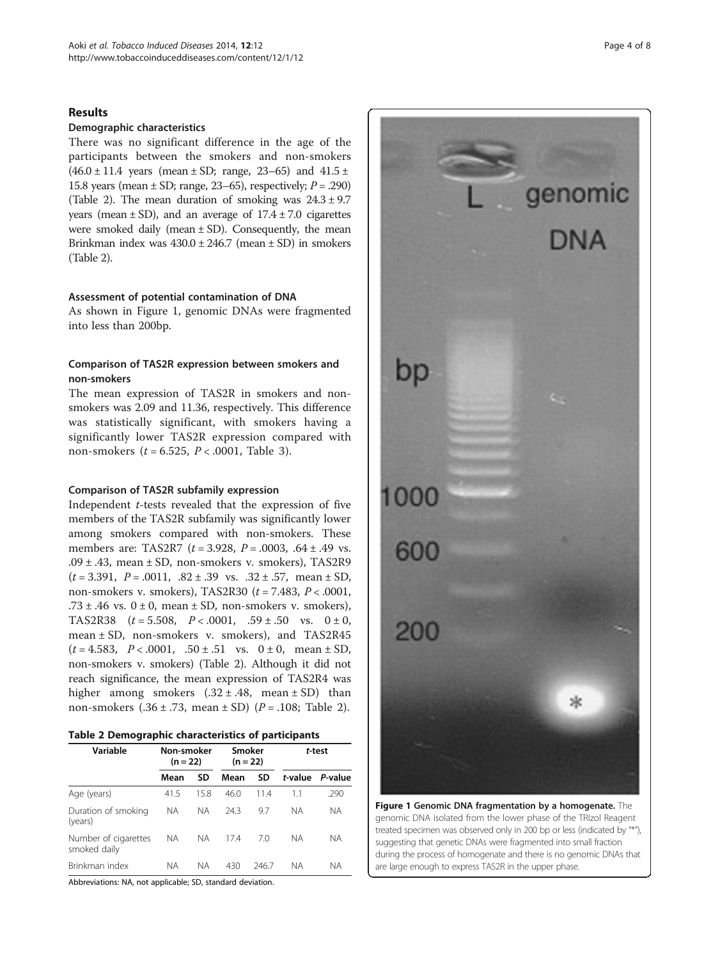# Results

# Demographic characteristics

There was no significant difference in the age of the participants between the smokers and non-smokers  $(46.0 \pm 11.4 \text{ years}$  (mean  $\pm$  SD; range, 23–65) and 41.5  $\pm$ 15.8 years (mean  $\pm$  SD; range, 23–65), respectively;  $P = .290$ ) (Table 2). The mean duration of smoking was  $24.3 \pm 9.7$ years (mean  $\pm$  SD), and an average of  $17.4 \pm 7.0$  cigarettes were smoked daily (mean  $\pm$  SD). Consequently, the mean Brinkman index was  $430.0 \pm 246.7$  (mean  $\pm$  SD) in smokers (Table 2).

#### Assessment of potential contamination of DNA

As shown in Figure 1, genomic DNAs were fragmented into less than 200bp.

# Comparison of TAS2R expression between smokers and non-smokers

The mean expression of TAS2R in smokers and nonsmokers was 2.09 and 11.36, respectively. This difference was statistically significant, with smokers having a significantly lower TAS2R expression compared with non-smokers ( $t = 6.525$ ,  $P < .0001$ , Table [3\)](#page-4-0).

#### Comparison of TAS2R subfamily expression

Independent t-tests revealed that the expression of five members of the TAS2R subfamily was significantly lower among smokers compared with non-smokers. These members are: TAS2R7 ( $t = 3.928$ ,  $P = .0003$ ,  $.64 \pm .49$  vs. .09  $\pm$  .43, mean  $\pm$  SD, non-smokers v. smokers), TAS2R9  $(t = 3.391, P = .0011, .82 \pm .39 \text{ vs. } .32 \pm .57, \text{ mean } \pm \text{ SD},$ non-smokers v. smokers), TAS2R30  $(t = 7.483, P < .0001,$ .73  $\pm$  .46 vs. 0  $\pm$  0, mean  $\pm$  SD, non-smokers v. smokers), TAS2R38  $(t = 5.508, P < .0001, .59 \pm .50 \text{ vs. } 0 \pm 0,$ mean ± SD, non-smokers v. smokers), and TAS2R45  $(t = 4.583, P < .0001, .50 \pm .51$  vs.  $0 \pm 0$ , mean  $\pm$  SD, non-smokers v. smokers) (Table 2). Although it did not reach significance, the mean expression of TAS2R4 was higher among smokers  $(.32 \pm .48, \text{ mean } \pm \text{ SD})$  than non-smokers  $(.36 \pm .73, \text{ mean } \pm \text{ SD})$   $(P = .108; \text{ Table } 2)$ .

| Table 2 Demographic characteristics of participants |  |  |  |
|-----------------------------------------------------|--|--|--|
|-----------------------------------------------------|--|--|--|

| Variable                             | Smoker<br>Non-smoker<br>$(n = 22)$<br>$(n = 22)$ |      |      | t-test |         |         |
|--------------------------------------|--------------------------------------------------|------|------|--------|---------|---------|
|                                      | Mean                                             | SD   | Mean | SD     | t-value | P-value |
| Age (years)                          | 41.5                                             | 15.8 | 46.0 | 11.4   | 1.1     | .290    |
| Duration of smoking<br>(years)       | ΝA                                               | NА   | 24.3 | 9.7    | ΝA      | ΝA      |
| Number of cigarettes<br>smoked daily | ΝA                                               | NА   | 17.4 | 7.0    | ΝA      | ΝA      |
| Brinkman index                       | <b>NA</b>                                        | NА   | 430  | 246.7  | NА      | ΝA      |

Abbreviations: NA, not applicable; SD, standard deviation.



Figure 1 Genomic DNA fragmentation by a homogenate. The genomic DNA isolated from the lower phase of the TRIzol Reagent treated specimen was observed only in 200 bp or less (indicated by "\*"), suggesting that genetic DNAs were fragmented into small fraction during the process of homogenate and there is no genomic DNAs that are large enough to express TAS2R in the upper phase.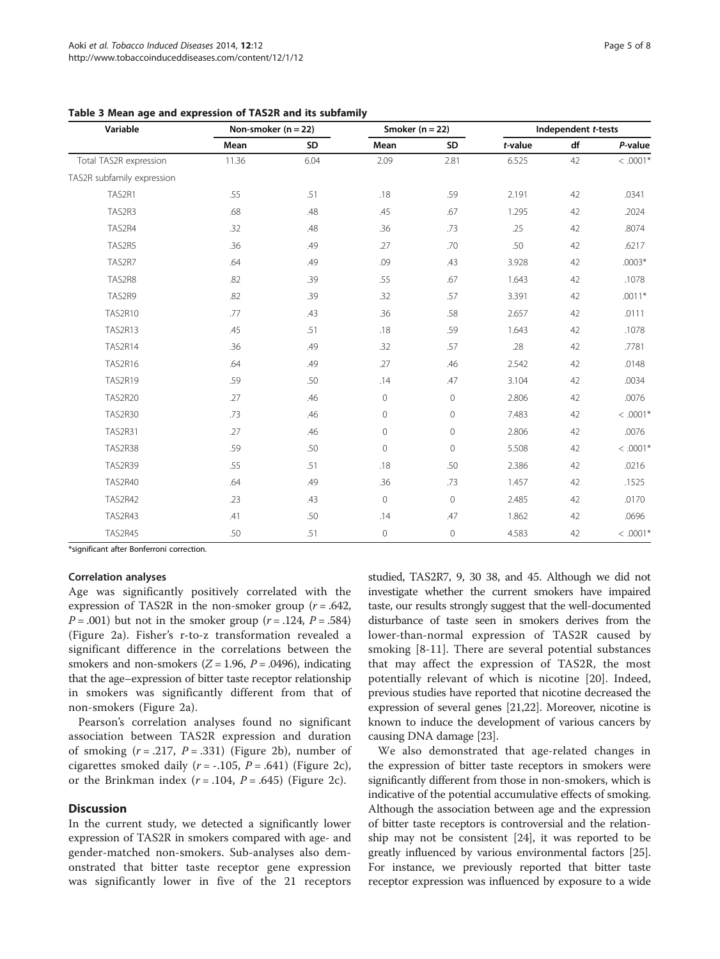| Variable                   | Non-smoker ( $n = 22$ ) |      | Smoker ( $n = 22$ ) |                | Independent t-tests |    |            |
|----------------------------|-------------------------|------|---------------------|----------------|---------------------|----|------------|
|                            | Mean                    | SD   | Mean                | SD             | t-value             | df | P-value    |
| Total TAS2R expression     | 11.36                   | 6.04 | 2.09                | 2.81           | 6.525               | 42 | $< .0001*$ |
| TAS2R subfamily expression |                         |      |                     |                |                     |    |            |
| TAS2R1                     | .55                     | .51  | .18                 | .59            | 2.191               | 42 | .0341      |
| TAS2R3                     | .68                     | .48  | .45                 | .67            | 1.295               | 42 | .2024      |
| TAS2R4                     | .32                     | .48  | .36                 | .73            | .25                 | 42 | .8074      |
| TAS2R5                     | .36                     | .49  | .27                 | .70            | .50                 | 42 | .6217      |
| TAS2R7                     | .64                     | .49  | .09                 | .43            | 3.928               | 42 | $.0003*$   |
| TAS2R8                     | .82                     | .39  | .55                 | .67            | 1.643               | 42 | .1078      |
| TAS2R9                     | .82                     | .39  | .32                 | .57            | 3.391               | 42 | $.0011*$   |
| <b>TAS2R10</b>             | .77                     | .43  | .36                 | .58            | 2.657               | 42 | .0111      |
| TAS2R13                    | .45                     | .51  | .18                 | .59            | 1.643               | 42 | .1078      |
| TAS2R14                    | .36                     | .49  | .32                 | .57            | .28                 | 42 | .7781      |
| TAS2R16                    | .64                     | .49  | .27                 | .46            | 2.542               | 42 | .0148      |
| <b>TAS2R19</b>             | .59                     | .50  | .14                 | .47            | 3.104               | 42 | .0034      |
| <b>TAS2R20</b>             | .27                     | .46  | $\mathsf{O}\xspace$ | $\mathbf{0}$   | 2.806               | 42 | .0076      |
| <b>TAS2R30</b>             | .73                     | .46  | $\overline{0}$      | $\overline{0}$ | 7.483               | 42 | $< .0001*$ |
| <b>TAS2R31</b>             | .27                     | .46  | $\mathsf{O}\xspace$ | $\mathbf 0$    | 2.806               | 42 | .0076      |
| TAS2R38                    | .59                     | .50  | $\circ$             | $\mathbf{0}$   | 5.508               | 42 | $< .0001*$ |
| <b>TAS2R39</b>             | .55                     | .51  | .18                 | .50            | 2.386               | 42 | .0216      |
| <b>TAS2R40</b>             | .64                     | .49  | .36                 | .73            | 1.457               | 42 | .1525      |
| <b>TAS2R42</b>             | .23                     | .43  | 0                   | $\circ$        | 2.485               | 42 | .0170      |
| TAS2R43                    | .41                     | .50  | .14                 | .47            | 1.862               | 42 | .0696      |
| TAS2R45                    | .50                     | .51  | $\mathbf 0$         | $\mathbf 0$    | 4.583               | 42 | $< .0001*$ |

<span id="page-4-0"></span>Table 3 Mean age and expression of TAS2R and its subfamily

\*significant after Bonferroni correction.

#### Correlation analyses

Age was significantly positively correlated with the expression of TAS2R in the non-smoker group  $(r = .642, ...)$  $P = .001$ ) but not in the smoker group ( $r = .124$ ,  $P = .584$ ) (Figure [2a](#page-5-0)). Fisher's r-to-z transformation revealed a significant difference in the correlations between the smokers and non-smokers  $(Z = 1.96, P = .0496)$ , indicating that the age–expression of bitter taste receptor relationship in smokers was significantly different from that of non-smokers (Figure [2](#page-5-0)a).

Pearson's correlation analyses found no significant association between TAS2R expression and duration of smoking  $(r=.217, P=.331)$  (Figure [2b](#page-5-0)), number of cigarettes smoked daily  $(r = -.105, P = .641)$  (Figure [2c](#page-5-0)), or the Brinkman index  $(r=.104, P=.645)$  (Figure [2c](#page-5-0)).

## **Discussion**

In the current study, we detected a significantly lower expression of TAS2R in smokers compared with age- and gender-matched non-smokers. Sub-analyses also demonstrated that bitter taste receptor gene expression was significantly lower in five of the 21 receptors

studied, TAS2R7, 9, 30 38, and 45. Although we did not investigate whether the current smokers have impaired taste, our results strongly suggest that the well-documented disturbance of taste seen in smokers derives from the lower-than-normal expression of TAS2R caused by smoking [\[8](#page-6-0)-[11\]](#page-6-0). There are several potential substances that may affect the expression of TAS2R, the most potentially relevant of which is nicotine [[20\]](#page-7-0). Indeed, previous studies have reported that nicotine decreased the expression of several genes [\[21,22](#page-7-0)]. Moreover, nicotine is known to induce the development of various cancers by causing DNA damage [[23](#page-7-0)].

We also demonstrated that age-related changes in the expression of bitter taste receptors in smokers were significantly different from those in non-smokers, which is indicative of the potential accumulative effects of smoking. Although the association between age and the expression of bitter taste receptors is controversial and the relationship may not be consistent [[24\]](#page-7-0), it was reported to be greatly influenced by various environmental factors [[25](#page-7-0)]. For instance, we previously reported that bitter taste receptor expression was influenced by exposure to a wide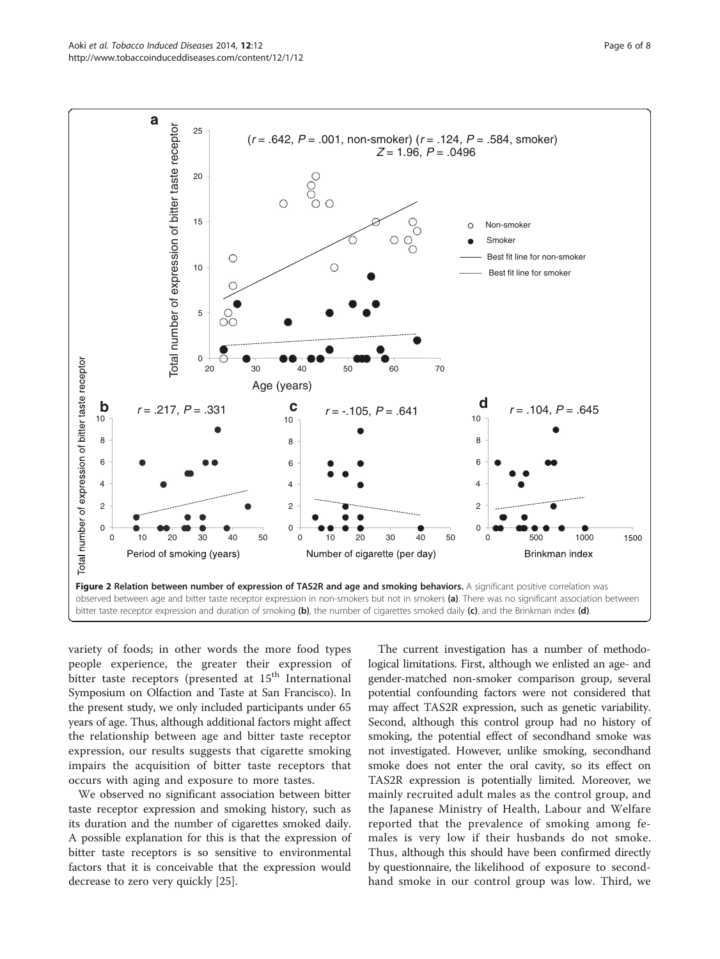<span id="page-5-0"></span>

variety of foods; in other words the more food types people experience, the greater their expression of bitter taste receptors (presented at  $15<sup>th</sup>$  International Symposium on Olfaction and Taste at San Francisco). In the present study, we only included participants under 65 years of age. Thus, although additional factors might affect the relationship between age and bitter taste receptor expression, our results suggests that cigarette smoking impairs the acquisition of bitter taste receptors that occurs with aging and exposure to more tastes.

We observed no significant association between bitter taste receptor expression and smoking history, such as its duration and the number of cigarettes smoked daily. A possible explanation for this is that the expression of bitter taste receptors is so sensitive to environmental factors that it is conceivable that the expression would decrease to zero very quickly [[25](#page-7-0)].

The current investigation has a number of methodological limitations. First, although we enlisted an age- and gender-matched non-smoker comparison group, several potential confounding factors were not considered that may affect TAS2R expression, such as genetic variability. Second, although this control group had no history of smoking, the potential effect of secondhand smoke was not investigated. However, unlike smoking, secondhand smoke does not enter the oral cavity, so its effect on TAS2R expression is potentially limited. Moreover, we mainly recruited adult males as the control group, and the Japanese Ministry of Health, Labour and Welfare reported that the prevalence of smoking among females is very low if their husbands do not smoke. Thus, although this should have been confirmed directly by questionnaire, the likelihood of exposure to secondhand smoke in our control group was low. Third, we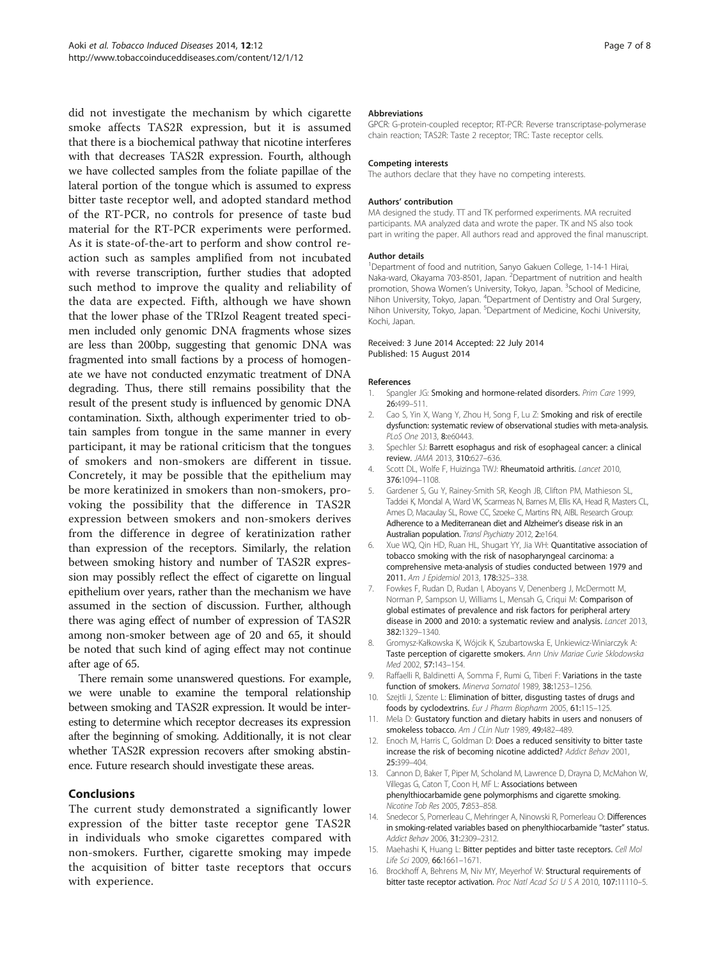<span id="page-6-0"></span>did not investigate the mechanism by which cigarette smoke affects TAS2R expression, but it is assumed that there is a biochemical pathway that nicotine interferes with that decreases TAS2R expression. Fourth, although we have collected samples from the foliate papillae of the lateral portion of the tongue which is assumed to express bitter taste receptor well, and adopted standard method of the RT-PCR, no controls for presence of taste bud material for the RT-PCR experiments were performed. As it is state-of-the-art to perform and show control reaction such as samples amplified from not incubated with reverse transcription, further studies that adopted such method to improve the quality and reliability of the data are expected. Fifth, although we have shown that the lower phase of the TRIzol Reagent treated specimen included only genomic DNA fragments whose sizes are less than 200bp, suggesting that genomic DNA was fragmented into small factions by a process of homogenate we have not conducted enzymatic treatment of DNA degrading. Thus, there still remains possibility that the result of the present study is influenced by genomic DNA contamination. Sixth, although experimenter tried to obtain samples from tongue in the same manner in every participant, it may be rational criticism that the tongues of smokers and non-smokers are different in tissue. Concretely, it may be possible that the epithelium may be more keratinized in smokers than non-smokers, provoking the possibility that the difference in TAS2R expression between smokers and non-smokers derives from the difference in degree of keratinization rather than expression of the receptors. Similarly, the relation between smoking history and number of TAS2R expression may possibly reflect the effect of cigarette on lingual epithelium over years, rather than the mechanism we have assumed in the section of discussion. Further, although there was aging effect of number of expression of TAS2R among non-smoker between age of 20 and 65, it should be noted that such kind of aging effect may not continue after age of 65.

There remain some unanswered questions. For example, we were unable to examine the temporal relationship between smoking and TAS2R expression. It would be interesting to determine which receptor decreases its expression after the beginning of smoking. Additionally, it is not clear whether TAS2R expression recovers after smoking abstinence. Future research should investigate these areas.

### **Conclusions**

The current study demonstrated a significantly lower expression of the bitter taste receptor gene TAS2R in individuals who smoke cigarettes compared with non-smokers. Further, cigarette smoking may impede the acquisition of bitter taste receptors that occurs with experience.

#### Abbreviations

GPCR: G-protein-coupled receptor; RT-PCR: Reverse transcriptase-polymerase chain reaction; TAS2R: Taste 2 receptor; TRC: Taste receptor cells.

#### Competing interests

The authors declare that they have no competing interests.

#### Authors' contribution

MA designed the study. TT and TK performed experiments. MA recruited participants. MA analyzed data and wrote the paper. TK and NS also took part in writing the paper. All authors read and approved the final manuscript.

#### Author details

<sup>1</sup>Department of food and nutrition, Sanyo Gakuen College, 1-14-1 Hirai Naka-ward, Okayama 703-8501, Japan. <sup>2</sup> Department of nutrition and health promotion, Showa Women's University, Tokyo, Japan. <sup>3</sup>School of Medicine, Nihon University, Tokyo, Japan. <sup>4</sup> Department of Dentistry and Oral Surgery, Nihon University, Tokyo, Japan. <sup>5</sup> Department of Medicine, Kochi University Kochi, Japan.

#### Received: 3 June 2014 Accepted: 22 July 2014 Published: 15 August 2014

#### References

- 1. Spangler JG: Smoking and hormone-related disorders. Prim Care 1999, 26:499–511.
- 2. Cao S, Yin X, Wang Y, Zhou H, Song F, Lu Z: Smoking and risk of erectile dysfunction: systematic review of observational studies with meta-analysis. PLoS One 2013, 8:e60443.
- 3. Spechler SJ: Barrett esophagus and risk of esophageal cancer: a clinical review. JAMA 2013, 310:627–636.
- 4. Scott DL, Wolfe F, Huizinga TWJ: Rheumatoid arthritis. Lancet 2010, 376:1094–1108.
- 5. Gardener S, Gu Y, Rainey-Smith SR, Keogh JB, Clifton PM, Mathieson SL, Taddei K, Mondal A, Ward VK, Scarmeas N, Barnes M, Ellis KA, Head R, Masters CL, Ames D, Macaulay SL, Rowe CC, Szoeke C, Martins RN, AIBL Research Group: Adherence to a Mediterranean diet and Alzheimer's disease risk in an Australian population. Transl Psychiatry 2012, 2:e164.
- 6. Xue WQ, Qin HD, Ruan HL, Shugart YY, Jia WH: Quantitative association of tobacco smoking with the risk of nasopharyngeal carcinoma: a comprehensive meta-analysis of studies conducted between 1979 and 2011. Am J Epidemiol 2013, 178:325–338.
- 7. Fowkes F, Rudan D, Rudan I, Aboyans V, Denenberg J, McDermott M, Norman P, Sampson U, Williams L, Mensah G, Criqui M: Comparison of global estimates of prevalence and risk factors for peripheral artery disease in 2000 and 2010: a systematic review and analysis. Lancet 2013, 382:1329–1340.
- 8. Gromysz-Kałkowska K, Wójcik K, Szubartowska E, Unkiewicz-Winiarczyk A: Taste perception of cigarette smokers. Ann Univ Mariae Curie Sklodowska Med 2002, 57:143–154.
- 9. Raffaelli R, Baldinetti A, Somma F, Rumi G, Tiberi F: Variations in the taste function of smokers. Minerva Somatol 1989, 38:1253–1256.
- 10. Szejtli J, Szente L: Elimination of bitter, disgusting tastes of drugs and foods by cyclodextrins. Eur J Pharm Biopharm 2005, 61:115–125.
- 11. Mela D: Gustatory function and dietary habits in users and nonusers of smokeless tobacco. Am J CLin Nutr 1989, 49:482-489.
- 12. Enoch M, Harris C, Goldman D: Does a reduced sensitivity to bitter taste increase the risk of becoming nicotine addicted? Addict Behav 2001, 25:399–404.
- 13. Cannon D, Baker T, Piper M, Scholand M, Lawrence D, Drayna D, McMahon W, Villegas G, Caton T, Coon H, MF L: Associations between phenylthiocarbamide gene polymorphisms and cigarette smoking. Nicotine Tob Res 2005, 7:853–858.
- 14. Snedecor S, Pomerleau C, Mehringer A, Ninowski R, Pomerleau O: Differences in smoking-related variables based on phenylthiocarbamide "taster" status. Addict Behav 2006, 31:2309–2312.
- 15. Maehashi K, Huang L: Bitter peptides and bitter taste receptors. Cell Mol Life Sci 2009, 66:1661–1671.
- 16. Brockhoff A, Behrens M, Niv MY, Meyerhof W: Structural requirements of bitter taste receptor activation. Proc Natl Acad Sci U S A 2010, 107:11110-5.